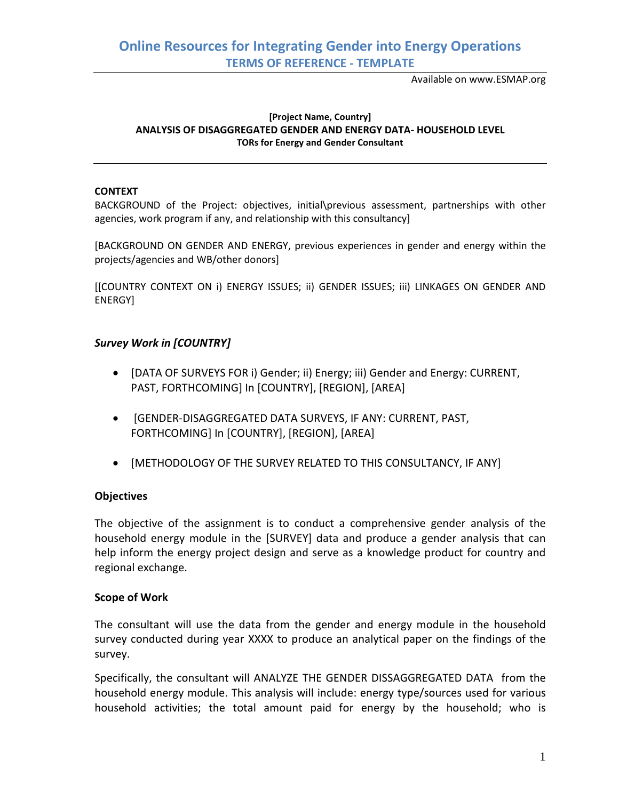Available on www.ESMAP.org

### **[Project Name, Country] ANALYSIS OF DISAGGREGATED GENDER AND ENERGY DATA- HOUSEHOLD LEVEL TORs for Energy and Gender Consultant**

#### **CONTEXT**

BACKGROUND of the Project: objectives, initial\previous assessment, partnerships with other agencies, work program if any, and relationship with this consultancy]

[BACKGROUND ON GENDER AND ENERGY, previous experiences in gender and energy within the projects/agencies and WB/other donors]

[[COUNTRY CONTEXT ON i) ENERGY ISSUES; ii) GENDER ISSUES; iii) LINKAGES ON GENDER AND ENERGY]

### *Survey Work in [COUNTRY]*

- [DATA OF SURVEYS FOR i) Gender; ii) Energy; iii) Gender and Energy: CURRENT, PAST, FORTHCOMING] In [COUNTRY], [REGION], [AREA]
- [GENDER-DISAGGREGATED DATA SURVEYS, IF ANY: CURRENT, PAST, FORTHCOMING] In [COUNTRY], [REGION], [AREA]
- [METHODOLOGY OF THE SURVEY RELATED TO THIS CONSULTANCY, IF ANY]

### **Objectives**

The objective of the assignment is to conduct a comprehensive gender analysis of the household energy module in the [SURVEY] data and produce a gender analysis that can help inform the energy project design and serve as a knowledge product for country and regional exchange.

### **Scope of Work**

The consultant will use the data from the gender and energy module in the household survey conducted during year XXXX to produce an analytical paper on the findings of the survey.

Specifically, the consultant will ANALYZE THE GENDER DISSAGGREGATED DATA from the household energy module. This analysis will include: energy type/sources used for various household activities; the total amount paid for energy by the household; who is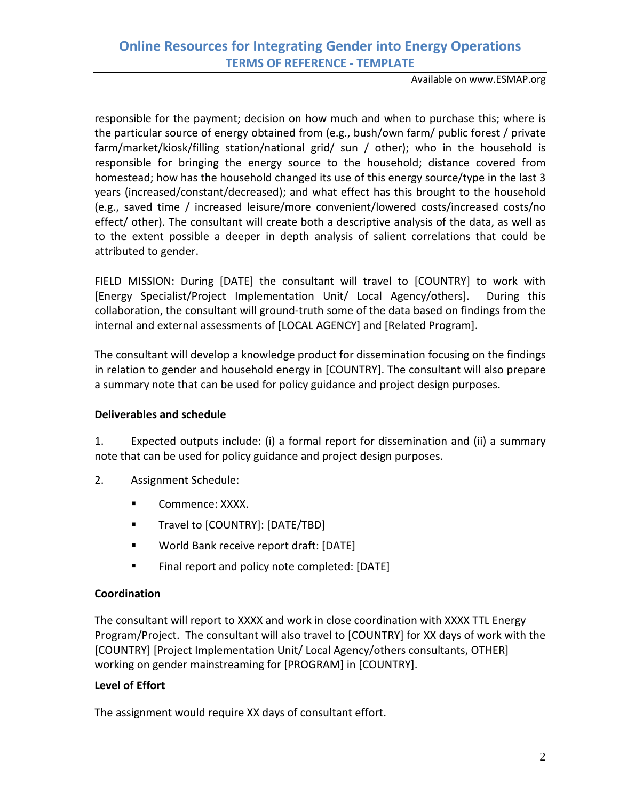Available on www.ESMAP.org

responsible for the payment; decision on how much and when to purchase this; where is the particular source of energy obtained from (e.g., bush/own farm/ public forest / private farm/market/kiosk/filling station/national grid/ sun / other); who in the household is responsible for bringing the energy source to the household; distance covered from homestead; how has the household changed its use of this energy source/type in the last 3 years (increased/constant/decreased); and what effect has this brought to the household (e.g., saved time / increased leisure/more convenient/lowered costs/increased costs/no effect/ other). The consultant will create both a descriptive analysis of the data, as well as to the extent possible a deeper in depth analysis of salient correlations that could be attributed to gender.

FIELD MISSION: During [DATE] the consultant will travel to [COUNTRY] to work with [Energy Specialist/Project Implementation Unit/ Local Agency/others]. During this collaboration, the consultant will ground-truth some of the data based on findings from the internal and external assessments of [LOCAL AGENCY] and [Related Program].

The consultant will develop a knowledge product for dissemination focusing on the findings in relation to gender and household energy in [COUNTRY]. The consultant will also prepare a summary note that can be used for policy guidance and project design purposes.

### **Deliverables and schedule**

1. Expected outputs include: (i) a formal report for dissemination and (ii) a summary note that can be used for policy guidance and project design purposes.

- 2. Assignment Schedule:
	- **Commence: XXXX.**
	- **Travel to [COUNTRY]: [DATE/TBD]**
	- World Bank receive report draft: [DATE]
	- **Final report and policy note completed: [DATE]**

# **Coordination**

The consultant will report to XXXX and work in close coordination with XXXX TTL Energy Program/Project. The consultant will also travel to [COUNTRY] for XX days of work with the [COUNTRY] [Project Implementation Unit/ Local Agency/others consultants, OTHER] working on gender mainstreaming for [PROGRAM] in [COUNTRY].

# **Level of Effort**

The assignment would require XX days of consultant effort.